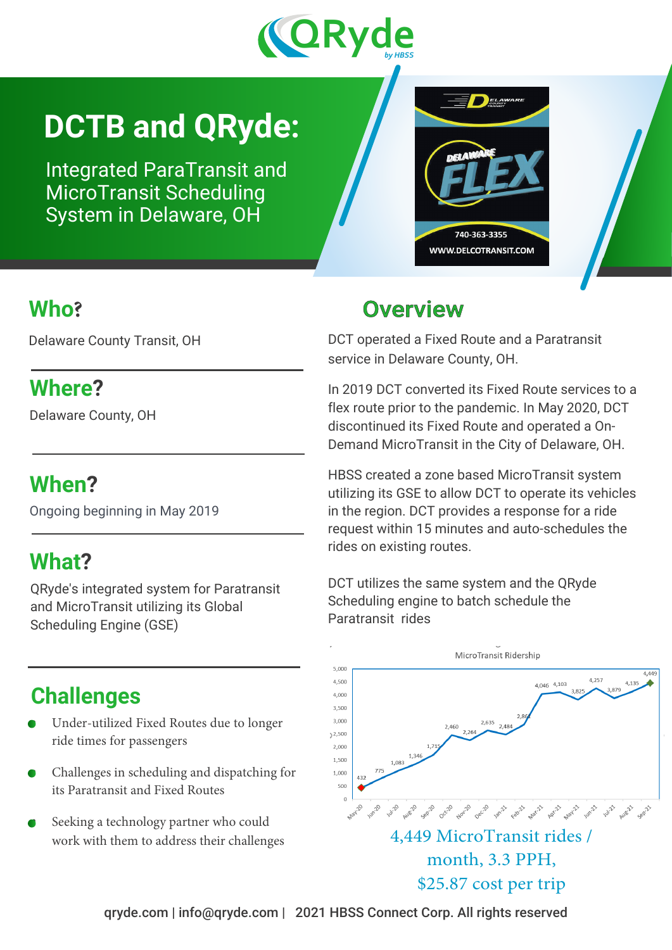

# **DCTB and QRyde:**

Integrated ParaTransit and MicroTransit Scheduling System in Delaware, OH



#### **Who?**

Delaware County Transit, OH

#### **Where?**

Delaware County, OH

## **When?**

Ongoing beginning in May 2019

## **What?**

QRyde's integrated system for Paratransit and MicroTransit utilizing its Global Scheduling Engine (GSE)

## **Challenges**

- Under-utilized Fixed Routes due to longer ride times for passengers
- Challenges in scheduling and dispatching for its Paratransit and Fixed Routes
- Seeking a technology partner who could work with them to address their challenges

## Overview

DCT operated a Fixed Route and a Paratransit service in Delaware County, OH.

In 2019 DCT converted its Fixed Route services to a flex route prior to the pandemic. In May 2020, DCT discontinued its Fixed Route and operated a On-Demand MicroTransit in the City of Delaware, OH.

HBSS created a zone based MicroTransit system utilizing its GSE to allow DCT to operate its vehicles in the region. DCT provides a response for a ride request within 15 minutes and auto-schedules the rides on existing routes.

DCT utilizes the same system and the QRyde Scheduling engine to batch schedule the Paratransit rides



4,449 MicroTransit rides / month, 3.3 PPH, \$25.87 cost per trip

qryde.com | info@qryde.com | 2021 HBSS Connect Corp. All rights reserved